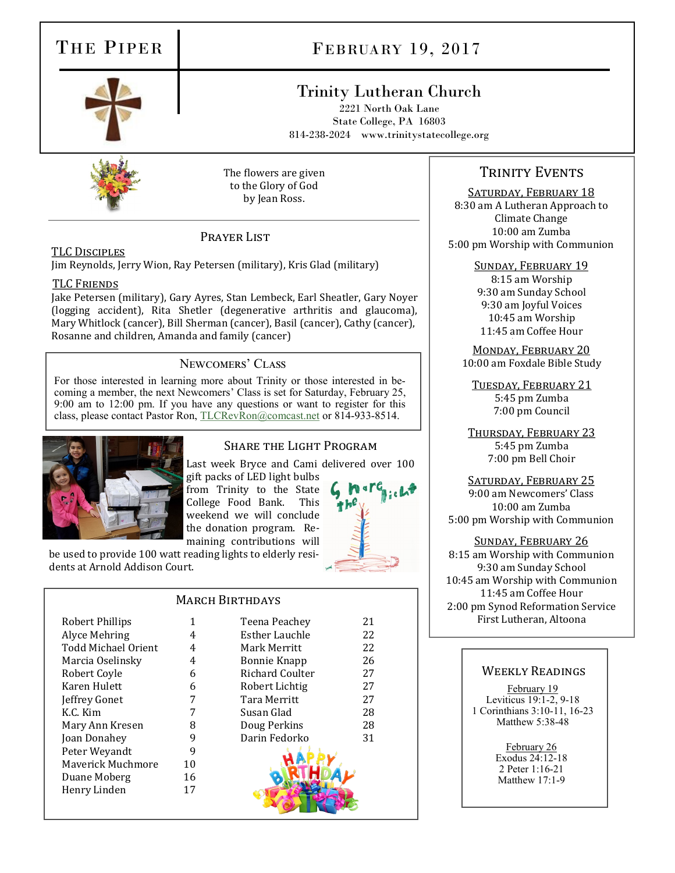# THE PIPER

# FEBRUARY 19, 2017

## Trinity Lutheran Church

2221 North Oak Lane State College, PA 16803 814-238-2024 www.trinitystatecollege.org



The flowers are given to the Glory of God by Jean Ross.

## PRAYER LIST

## TLC Disciples

Jim Reynolds, Jerry Wion, Ray Petersen (military), Kris Glad (military)

#### TLC Friends

Jake Petersen (military), Gary Ayres, Stan Lembeck, Earl Sheatler, Gary Noyer (logging accident), Rita Shetler (degenerative arthritis and glaucoma), Mary Whitlock (cancer), Bill Sherman (cancer), Basil (cancer), Cathy (cancer), Rosanne and children, Amanda and family (cancer)

## Newcomers' Class

For those interested in learning more about Trinity or those interested in becoming a member, the next Newcomers' Class is set for Saturday, February 25, 9:00 am to 12:00 pm. If you have any questions or want to register for this class, please contact Pastor Ron, [TLCRevRon@comcast.net](mailto:TLCRevRon@comcast.net) or 814-933-8514.



dents at Arnold Addison Court.

## Share the Light Program

Last week Bryce and Cami delivered over 100

gift packs of LED light bulbs from Trinity to the State College Food Bank. This weekend we will conclude the donation program. Remaining contributions will



**MARCH BIRTHDAYS** 

| Robert Phillips     | 1  | Teena Peachey         | 21 |
|---------------------|----|-----------------------|----|
| Alyce Mehring       | 4  | <b>Esther Lauchle</b> | 22 |
| Todd Michael Orient | 4  | Mark Merritt          | 22 |
| Marcia Oselinsky    | 4  | <b>Bonnie Knapp</b>   | 26 |
| Robert Coyle        | 6  | Richard Coulter       | 27 |
| Karen Hulett        | 6  | Robert Lichtig        | 27 |
| Jeffrey Gonet       | 7  | Tara Merritt          | 27 |
| K.C. Kim            |    | Susan Glad            | 28 |
| Mary Ann Kresen     | 8  | Doug Perkins          | 28 |
| Joan Donahey        | 9  | Darin Fedorko         | 31 |
| Peter Weyandt       | 9  |                       |    |
| Maverick Muchmore   | 10 |                       |    |
| Duane Moberg        | 16 |                       |    |
| Henry Linden        | 17 |                       |    |

be used to provide 100 watt reading lights to elderly resi-

## TRINITY EVENTS

SATURDAY, FEBRUARY 18

8:30 am A Lutheran Approach to Climate Change 10:00 am Zumba 5:00 pm Worship with Communion

#### Sunday, February 19

8:15 am Worship 9:30 am Sunday School 9:30 am Joyful Voices 10:45 am Worship 11:45 am Coffee Hour

Monday, February 20 10:00 am Foxdale Bible Study

Tuesday, February 21 5:45 pm Zumba 7:00 pm Council

Thursday, February 23 5:45 pm Zumba 7:00 pm Bell Choir

SATURDAY, FEBRUARY 25 9:00 am Newcomers' Class 10:00 am Zumba 5:00 pm Worship with Communion

#### Sunday, February 26

8:15 am Worship with Communion 9:30 am Sunday School 10:45 am Worship with Communion 11:45 am Coffee Hour 2:00 pm Synod Reformation Service First Lutheran, Altoona

#### Weekly Readings

February 19 Leviticus 19:1-2, 9-18 1 Corinthians 3:10-11, 16-23 Matthew 5:38-48

> February 26 Exodus 24:12-18 2 Peter 1:16-21 Matthew 17:1-9